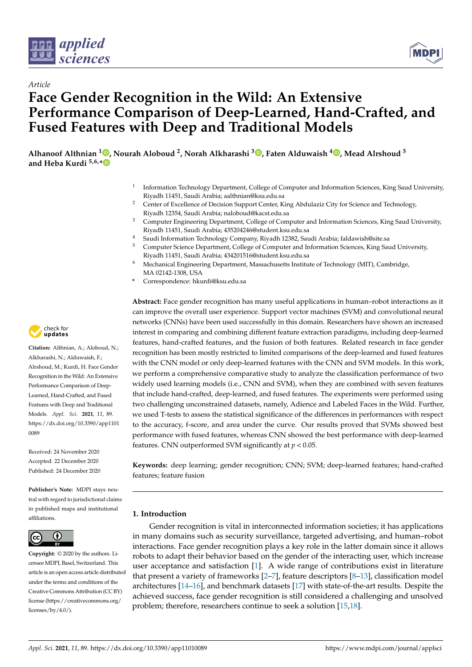



# *Article* **Face Gender Recognition in the Wild: An Extensive Performance Comparison of Deep-Learned, Hand-Crafted, and Fused Features with Deep and Traditional Models**

**Alhanoof Althnian <sup>1</sup> [,](https://orcid.org/0000-0003-1837-3860) Nourah Aloboud <sup>2</sup> , Norah Alkharashi <sup>3</sup> [,](https://orcid.org/0000-0001-5941-197X) Faten Alduwaish <sup>4</sup> [,](https://orcid.org/0000-0002-6203-9280) Mead Alrshoud <sup>5</sup> and Heba Kurdi 5,6,[\\*](https://orcid.org/0000-0001-6110-9657)**

- 1 Information Technology Department, College of Computer and Information Sciences, King Saud University, Riyadh 11451, Saudi Arabia; aalthnian@ksu.edu.sa
- <sup>2</sup> Center of Excellence of Decision Support Center, King Abdulaziz City for Science and Technology, Riyadh 12354, Saudi Arabia; naloboud@kacst.edu.sa
- <sup>3</sup> Computer Engineering Department, College of Computer and Information Sciences, King Saud University, Riyadh 11451, Saudi Arabia; 435204246@student.ksu.edu.sa
- <sup>4</sup> Saudi Information Technology Company, Riyadh 12382, Saudi Arabia; faldawish@site.sa<br><sup>5</sup> Computer Science Department College of Computer and Information Sciences. King Sau
- <sup>5</sup> Computer Science Department, College of Computer and Information Sciences, King Saud University, Riyadh 11451, Saudi Arabia; 434201516@student.ksu.edu.sa
- <sup>6</sup> Mechanical Engineering Department, Massachusetts Institute of Technology (MIT), Cambridge, MA 02142-1308, USA
- **\*** Correspondence: hkurdi@ksu.edu.sa

**Abstract:** Face gender recognition has many useful applications in human–robot interactions as it can improve the overall user experience. Support vector machines (SVM) and convolutional neural networks (CNNs) have been used successfully in this domain. Researchers have shown an increased interest in comparing and combining different feature extraction paradigms, including deep-learned features, hand-crafted features, and the fusion of both features. Related research in face gender recognition has been mostly restricted to limited comparisons of the deep-learned and fused features with the CNN model or only deep-learned features with the CNN and SVM models. In this work, we perform a comprehensive comparative study to analyze the classification performance of two widely used learning models (i.e., CNN and SVM), when they are combined with seven features that include hand-crafted, deep-learned, and fused features. The experiments were performed using two challenging unconstrained datasets, namely, Adience and Labeled Faces in the Wild. Further, we used T-tests to assess the statistical significance of the differences in performances with respect to the accuracy, f-score, and area under the curve. Our results proved that SVMs showed best performance with fused features, whereas CNN showed the best performance with deep-learned features. CNN outperformed SVM significantly at *p* < 0.05.

**Keywords:** deep learning; gender recognition; CNN; SVM; deep-learned features; hand-crafted features; feature fusion

### **1. Introduction**

Gender recognition is vital in interconnected information societies; it has applications in many domains such as security surveillance, targeted advertising, and human–robot interactions. Face gender recognition plays a key role in the latter domain since it allows robots to adapt their behavior based on the gender of the interacting user, which increase user acceptance and satisfaction [\[1\]](#page-11-0). A wide range of contributions exist in literature that present a variety of frameworks [\[2–](#page-11-1)[7\]](#page-11-2), feature descriptors [\[8](#page-11-3)[–13\]](#page-12-0), classification model architectures [\[14](#page-12-1)[–16\]](#page-12-2), and benchmark datasets [\[17\]](#page-12-3) with state-of-the-art results. Despite the achieved success, face gender recognition is still considered a challenging and unsolved problem; therefore, researchers continue to seek a solution [\[15,](#page-12-4)[18\]](#page-12-5).



**Citation:** Althnian, A.; Aloboud, N.; Alkharashi, N.; Alduwaish, F.; Alrshoud, M.; Kurdi, H. Face Gender Recognition in the Wild: An Extensive Performance Comparison of Deep-Learned, Hand-Crafted, and Fused Features with Deep and Traditional Models. *Appl. Sci.* **2021**, *11*, 89. [https://dx.doi.org/10.3390/app1101](https://dx.doi.org/10.3390/app11010089) [0089](https://dx.doi.org/10.3390/app11010089)

Received: 24 November 2020 Accepted: 22 December 2020 Published: 24 December 2020

**Publisher's Note:** MDPI stays neutral with regard to jurisdictional claims in published maps and institutional affiliations.



**Copyright:** © 2020 by the authors. Licensee MDPI, Basel, Switzerland. This article is an open access article distributed under the terms and conditions of the Creative Commons Attribution (CC BY) license [\(https://creativecommons.org/](https://creativecommons.org/licenses/by/4.0/) [licenses/by/4.0/\)](https://creativecommons.org/licenses/by/4.0/).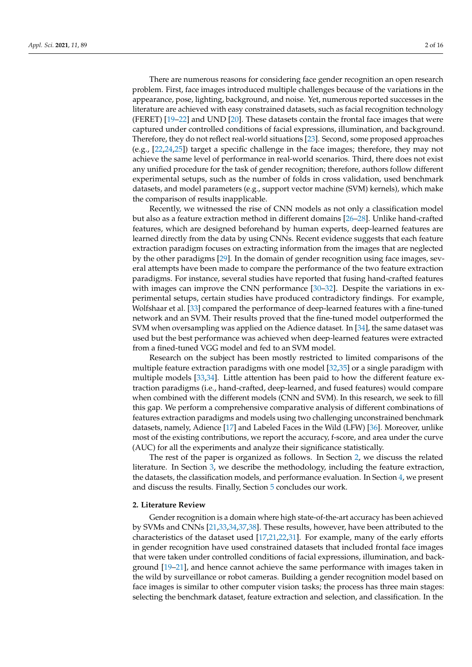There are numerous reasons for considering face gender recognition an open research problem. First, face images introduced multiple challenges because of the variations in the appearance, pose, lighting, background, and noise. Yet, numerous reported successes in the literature are achieved with easy constrained datasets, such as facial recognition technology (FERET) [\[19–](#page-12-6)[22\]](#page-12-7) and UND [\[20\]](#page-12-8). These datasets contain the frontal face images that were captured under controlled conditions of facial expressions, illumination, and background. Therefore, they do not reflect real-world situations [\[23\]](#page-12-9). Second, some proposed approaches (e.g., [\[22](#page-12-7)[,24](#page-12-10)[,25\]](#page-12-11)) target a specific challenge in the face images; therefore, they may not achieve the same level of performance in real-world scenarios. Third, there does not exist any unified procedure for the task of gender recognition; therefore, authors follow different experimental setups, such as the number of folds in cross validation, used benchmark datasets, and model parameters (e.g., support vector machine (SVM) kernels), which make the comparison of results inapplicable.

Recently, we witnessed the rise of CNN models as not only a classification model but also as a feature extraction method in different domains [\[26](#page-12-12)[–28\]](#page-12-13). Unlike hand-crafted features, which are designed beforehand by human experts, deep-learned features are learned directly from the data by using CNNs. Recent evidence suggests that each feature extraction paradigm focuses on extracting information from the images that are neglected by the other paradigms [\[29\]](#page-12-14). In the domain of gender recognition using face images, several attempts have been made to compare the performance of the two feature extraction paradigms. For instance, several studies have reported that fusing hand-crafted features with images can improve the CNN performance [\[30](#page-12-15)[–32\]](#page-12-16). Despite the variations in experimental setups, certain studies have produced contradictory findings. For example, Wolfshaar et al. [\[33\]](#page-12-17) compared the performance of deep-learned features with a fine-tuned network and an SVM. Their results proved that the fine-tuned model outperformed the SVM when oversampling was applied on the Adience dataset. In [\[34\]](#page-12-18), the same dataset was used but the best performance was achieved when deep-learned features were extracted from a fined-tuned VGG model and fed to an SVM model.

Research on the subject has been mostly restricted to limited comparisons of the multiple feature extraction paradigms with one model [\[32](#page-12-16)[,35\]](#page-12-19) or a single paradigm with multiple models [\[33,](#page-12-17)[34\]](#page-12-18). Little attention has been paid to how the different feature extraction paradigms (i.e., hand-crafted, deep-learned, and fused features) would compare when combined with the different models (CNN and SVM). In this research, we seek to fill this gap. We perform a comprehensive comparative analysis of different combinations of features extraction paradigms and models using two challenging unconstrained benchmark datasets, namely, Adience [\[17\]](#page-12-3) and Labeled Faces in the Wild (LFW) [\[36\]](#page-12-20). Moreover, unlike most of the existing contributions, we report the accuracy, f-score, and area under the curve (AUC) for all the experiments and analyze their significance statistically.

The rest of the paper is organized as follows. In Section [2,](#page-1-0) we discuss the related literature. In Section [3,](#page-5-0) we describe the methodology, including the feature extraction, the datasets, the classification models, and performance evaluation. In Section [4,](#page-8-0) we present and discuss the results. Finally, Section [5](#page-10-0) concludes our work.

### <span id="page-1-0"></span>**2. Literature Review**

Gender recognition is a domain where high state-of-the-art accuracy has been achieved by SVMs and CNNs [\[21,](#page-12-21)[33,](#page-12-17)[34,](#page-12-18)[37,](#page-12-22)[38\]](#page-13-0). These results, however, have been attributed to the characteristics of the dataset used [\[17](#page-12-3)[,21,](#page-12-21)[22](#page-12-7)[,31\]](#page-12-23). For example, many of the early efforts in gender recognition have used constrained datasets that included frontal face images that were taken under controlled conditions of facial expressions, illumination, and background [\[19–](#page-12-6)[21\]](#page-12-21), and hence cannot achieve the same performance with images taken in the wild by surveillance or robot cameras. Building a gender recognition model based on face images is similar to other computer vision tasks; the process has three main stages: selecting the benchmark dataset, feature extraction and selection, and classification. In the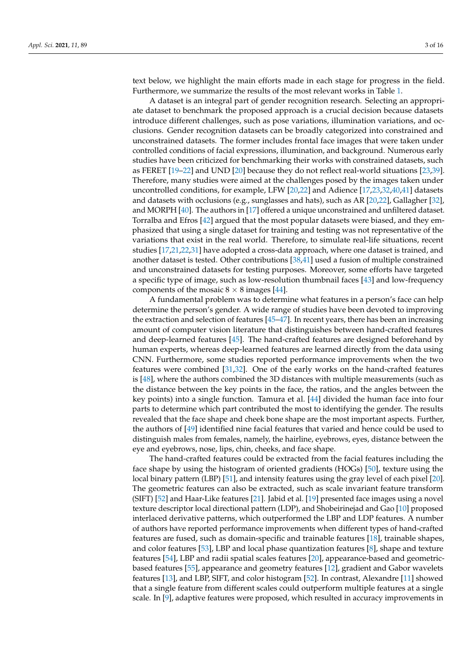text below, we highlight the main efforts made in each stage for progress in the field. Furthermore, we summarize the results of the most relevant works in Table [1.](#page-4-0)

A dataset is an integral part of gender recognition research. Selecting an appropriate dataset to benchmark the proposed approach is a crucial decision because datasets introduce different challenges, such as pose variations, illumination variations, and occlusions. Gender recognition datasets can be broadly categorized into constrained and unconstrained datasets. The former includes frontal face images that were taken under controlled conditions of facial expressions, illumination, and background. Numerous early studies have been criticized for benchmarking their works with constrained datasets, such as FERET [\[19–](#page-12-6)[22\]](#page-12-7) and UND [\[20\]](#page-12-8) because they do not reflect real-world situations [\[23,](#page-12-9)[39\]](#page-13-1). Therefore, many studies were aimed at the challenges posed by the images taken under uncontrolled conditions, for example, LFW [\[20](#page-12-8)[,22\]](#page-12-7) and Adience [\[17,](#page-12-3)[23](#page-12-9)[,32,](#page-12-16)[40](#page-13-2)[,41\]](#page-13-3) datasets and datasets with occlusions (e.g., sunglasses and hats), such as AR [\[20,](#page-12-8)[22\]](#page-12-7), Gallagher [\[32\]](#page-12-16), and MORPH [\[40\]](#page-13-2). The authors in [\[17\]](#page-12-3) offered a unique unconstrained and unfiltered dataset. Torralba and Efros [\[42\]](#page-13-4) argued that the most popular datasets were biased, and they emphasized that using a single dataset for training and testing was not representative of the variations that exist in the real world. Therefore, to simulate real-life situations, recent studies [\[17,](#page-12-3)[21,](#page-12-21)[22,](#page-12-7)[31\]](#page-12-23) have adopted a cross-data approach, where one dataset is trained, and another dataset is tested. Other contributions [\[38,](#page-13-0)[41\]](#page-13-3) used a fusion of multiple constrained and unconstrained datasets for testing purposes. Moreover, some efforts have targeted a specific type of image, such as low-resolution thumbnail faces [\[43\]](#page-13-5) and low-frequency components of the mosaic  $8 \times 8$  images [\[44\]](#page-13-6).

A fundamental problem was to determine what features in a person's face can help determine the person's gender. A wide range of studies have been devoted to improving the extraction and selection of features [\[45–](#page-13-7)[47\]](#page-13-8). In recent years, there has been an increasing amount of computer vision literature that distinguishes between hand-crafted features and deep-learned features [\[45\]](#page-13-7). The hand-crafted features are designed beforehand by human experts, whereas deep-learned features are learned directly from the data using CNN. Furthermore, some studies reported performance improvements when the two features were combined [\[31](#page-12-23)[,32\]](#page-12-16). One of the early works on the hand-crafted features is [\[48\]](#page-13-9), where the authors combined the 3D distances with multiple measurements (such as the distance between the key points in the face, the ratios, and the angles between the key points) into a single function. Tamura et al. [\[44\]](#page-13-6) divided the human face into four parts to determine which part contributed the most to identifying the gender. The results revealed that the face shape and cheek bone shape are the most important aspects. Further, the authors of [\[49\]](#page-13-10) identified nine facial features that varied and hence could be used to distinguish males from females, namely, the hairline, eyebrows, eyes, distance between the eye and eyebrows, nose, lips, chin, cheeks, and face shape.

The hand-crafted features could be extracted from the facial features including the face shape by using the histogram of oriented gradients (HOGs) [\[50\]](#page-13-11), texture using the local binary pattern (LBP) [\[51\]](#page-13-12), and intensity features using the gray level of each pixel [\[20\]](#page-12-8). The geometric features can also be extracted, such as scale invariant feature transform (SIFT) [\[52\]](#page-13-13) and Haar-Like features [\[21\]](#page-12-21). Jabid et al. [\[19\]](#page-12-6) presented face images using a novel texture descriptor local directional pattern (LDP), and Shobeirinejad and Gao [\[10\]](#page-11-4) proposed interlaced derivative patterns, which outperformed the LBP and LDP features. A number of authors have reported performance improvements when different types of hand-crafted features are fused, such as domain-specific and trainable features [\[18\]](#page-12-5), trainable shapes, and color features [\[53\]](#page-13-14), LBP and local phase quantization features [\[8\]](#page-11-3), shape and texture features [\[54\]](#page-13-15), LBP and radii spatial scales features [\[20\]](#page-12-8), appearance-based and geometricbased features [\[55\]](#page-13-16), appearance and geometry features [\[12\]](#page-12-24), gradient and Gabor wavelets features [\[13\]](#page-12-0), and LBP, SIFT, and color histogram [\[52\]](#page-13-13). In contrast, Alexandre [\[11\]](#page-11-5) showed that a single feature from different scales could outperform multiple features at a single scale. In [\[9\]](#page-11-6), adaptive features were proposed, which resulted in accuracy improvements in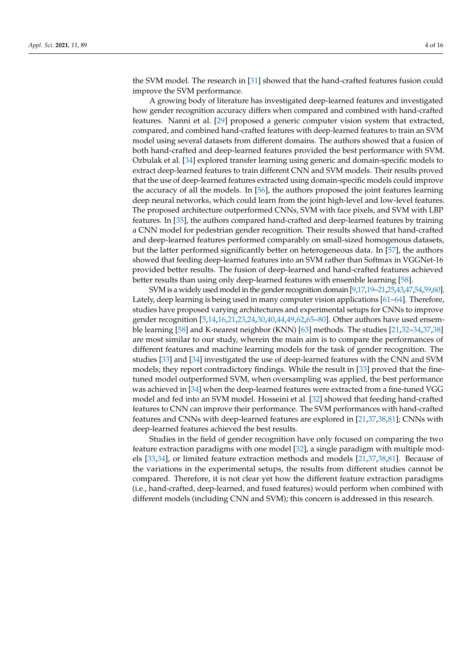the SVM model. The research in [\[31\]](#page-12-23) showed that the hand-crafted features fusion could improve the SVM performance.

A growing body of literature has investigated deep-learned features and investigated how gender recognition accuracy differs when compared and combined with hand-crafted features. Nanni et al. [\[29\]](#page-12-14) proposed a generic computer vision system that extracted, compared, and combined hand-crafted features with deep-learned features to train an SVM model using several datasets from different domains. The authors showed that a fusion of both hand-crafted and deep-learned features provided the best performance with SVM. Ozbulak et al. [\[34\]](#page-12-18) explored transfer learning using generic and domain-specific models to extract deep-learned features to train different CNN and SVM models. Their results proved that the use of deep-learned features extracted using domain-specific models could improve the accuracy of all the models. In [\[56\]](#page-13-17), the authors proposed the joint features learning deep neural networks, which could learn from the joint high-level and low-level features. The proposed architecture outperformed CNNs, SVM with face pixels, and SVM with LBP features. In [\[35\]](#page-12-19), the authors compared hand-crafted and deep-learned features by training a CNN model for pedestrian gender recognition. Their results showed that hand-crafted and deep-learned features performed comparably on small-sized homogenous datasets, but the latter performed significantly better on heterogeneous data. In [\[57\]](#page-13-18), the authors showed that feeding deep-learned features into an SVM rather than Softmax in VGGNet-16 provided better results. The fusion of deep-learned and hand-crafted features achieved better results than using only deep-learned features with ensemble learning [\[58\]](#page-13-19).

SVM is a widely used model in the gender recognition domain [\[9](#page-11-6)[,17,](#page-12-3)[19](#page-12-6)[–21](#page-12-21)[,25,](#page-12-11)[43,](#page-13-5)[47,](#page-13-8)[54](#page-13-15)[,59](#page-13-20)[,60\]](#page-13-21). Lately, deep learning is being used in many computer vision applications [\[61–](#page-13-22)[64\]](#page-14-0). Therefore, studies have proposed varying architectures and experimental setups for CNNs to improve gender recognition [\[5](#page-11-7)[,14](#page-12-1)[,16](#page-12-2)[,21,](#page-12-21)[23,](#page-12-9)[24](#page-12-10)[,30](#page-12-15)[,40](#page-13-2)[,44,](#page-13-6)[49,](#page-13-10)[62,](#page-13-23)[65](#page-14-1)[–80\]](#page-14-2). Other authors have used ensemble learning [\[58\]](#page-13-19) and K-nearest neighbor (KNN) [\[63\]](#page-14-3) methods. The studies [\[21](#page-12-21)[,32](#page-12-16)[–34,](#page-12-18)[37,](#page-12-22)[38\]](#page-13-0) are most similar to our study, wherein the main aim is to compare the performances of different features and machine learning models for the task of gender recognition. The studies [\[33\]](#page-12-17) and [\[34\]](#page-12-18) investigated the use of deep-learned features with the CNN and SVM models; they report contradictory findings. While the result in [\[33\]](#page-12-17) proved that the finetuned model outperformed SVM, when oversampling was applied, the best performance was achieved in [\[34\]](#page-12-18) when the deep-learned features were extracted from a fine-tuned VGG model and fed into an SVM model. Hosseini et al. [\[32\]](#page-12-16) showed that feeding hand-crafted features to CNN can improve their performance. The SVM performances with hand-crafted features and CNNs with deep-learned features are explored in [\[21](#page-12-21)[,37](#page-12-22)[,38](#page-13-0)[,81\]](#page-14-4); CNNs with deep-learned features achieved the best results.

Studies in the field of gender recognition have only focused on comparing the two feature extraction paradigms with one model [\[32\]](#page-12-16), a single paradigm with multiple models [\[33,](#page-12-17)[34\]](#page-12-18), or limited feature extraction methods and models [\[21,](#page-12-21)[37](#page-12-22)[,38,](#page-13-0)[81\]](#page-14-4). Because of the variations in the experimental setups, the results from different studies cannot be compared. Therefore, it is not clear yet how the different feature extraction paradigms (i.e., hand-crafted, deep-learned, and fused features) would perform when combined with different models (including CNN and SVM); this concern is addressed in this research.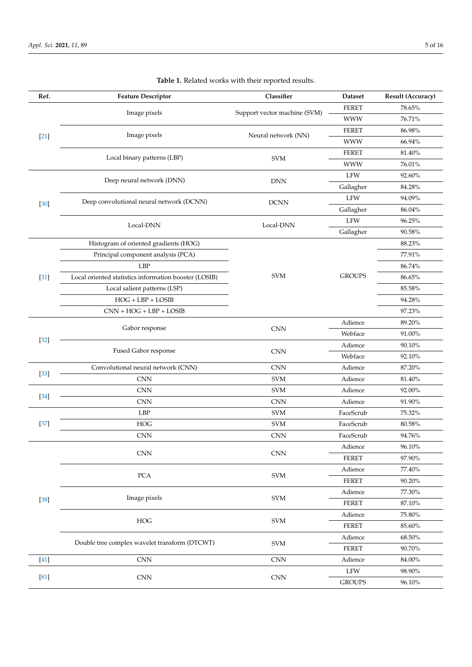<span id="page-4-0"></span>

| Ref.   | <b>Feature Descriptor</b>                             | Classifier                         | Dataset       | Result (Accuracy) |
|--------|-------------------------------------------------------|------------------------------------|---------------|-------------------|
| $[21]$ | Image pixels                                          | Support vector machine (SVM)       | <b>FERET</b>  | 78.65%            |
|        |                                                       |                                    | <b>WWW</b>    | 76.71%            |
|        | Image pixels                                          | Neural network (NN)                | <b>FERET</b>  | 86.98%            |
|        |                                                       |                                    | <b>WWW</b>    | 66.94%            |
|        | Local binary patterns (LBP)                           | <b>SVM</b>                         | <b>FERET</b>  | 81.40%            |
|        |                                                       |                                    | <b>WWW</b>    | 76.01%            |
|        | Deep neural network (DNN)                             | <b>DNN</b>                         | LFW           | 92.60%            |
|        |                                                       |                                    | Gallagher     | 84.28%            |
| $[30]$ | Deep convolutional neural network (DCNN)              | <b>DCNN</b>                        | LFW           | 94.09%            |
|        |                                                       |                                    | Gallagher     | 86.04%            |
|        | Local-DNN                                             | Local-DNN                          | LFW           | 96.25%            |
|        |                                                       |                                    | Gallagher     | 90.58%            |
|        | Histogram of oriented gradients (HOG)                 |                                    |               | 88.23%            |
|        | Principal component analysis (PCA)                    |                                    | <b>GROUPS</b> | 77.91%            |
|        | <b>LBP</b>                                            |                                    |               | 86.74%            |
| $[31]$ | Local oriented statistics information booster (LOSIB) | <b>SVM</b>                         |               | 86.65%            |
|        | Local salient patterns (LSP)                          |                                    |               | 85.58%            |
|        | $HOG + LBP + LOSIB$                                   |                                    |               | 94.28%            |
|        | $CNN + HOG + LBP + LOSIB$                             |                                    |               | 97.23%            |
|        | Gabor response                                        | <b>CNN</b>                         | Adience       | 89.20%            |
| $[32]$ |                                                       |                                    | Webface       | 91.00%            |
|        | Fused Gabor response                                  | <b>CNN</b>                         | Adience       | 90.10%            |
|        |                                                       |                                    | Webface       | 92.10%            |
| $[33]$ | Convolutional neural network (CNN)                    | <b>CNN</b>                         | Adience       | 87.20%            |
|        | <b>CNN</b>                                            | <b>SVM</b>                         | Adience       | 81.40%            |
| $[34]$ | <b>CNN</b>                                            | <b>SVM</b>                         | Adience       | 92.00%            |
|        | <b>CNN</b>                                            | <b>CNN</b>                         | Adience       | 91.90%            |
|        | LBP                                                   | <b>SVM</b>                         | FaceScrub     | 75.32%            |
| $[37]$ | <b>HOG</b>                                            | <b>SVM</b>                         | FaceScrub     | 80.58%            |
|        | <b>CNN</b>                                            | <b>CNN</b>                         | FaceScrub     | 94.76%            |
|        | <b>CNN</b>                                            | <b>CNN</b>                         | Adience       | 96.10%            |
|        |                                                       |                                    | FERET         | 97.90%            |
|        | ${\rm PCA}$                                           | $\ensuremath{\mathrm{SVM}}$        | Adience       | 77.40%            |
|        |                                                       |                                    | <b>FERET</b>  | 90.20%            |
|        | Image pixels                                          | $\ensuremath{\mathrm{SVM}}$        | Adience       | 77.30%            |
| $[38]$ |                                                       |                                    | <b>FERET</b>  | $87.10\%$         |
|        | ${\rm HOG}$                                           | $\ensuremath{\mathrm{SVM}}$        | Adience       | 75.80%            |
|        |                                                       |                                    | ${\tt FERET}$ | $85.60\%$         |
|        | Double tree complex wavelet transform (DTCWT)         | $\ensuremath{\mathrm{SVM}}\xspace$ | Adience       | 68.50%            |
|        |                                                       |                                    | <b>FERET</b>  | 90.70%            |
| $[41]$ | CNN                                                   | <b>CNN</b>                         | Adience       | 84.00%            |
| [81]   | CNN                                                   | $\mathop{\rm CNN}\nolimits$        | LFW           | 98.90%            |
|        |                                                       |                                    | <b>GROUPS</b> | 96.10%            |

## **Table 1.** Related works with their reported results.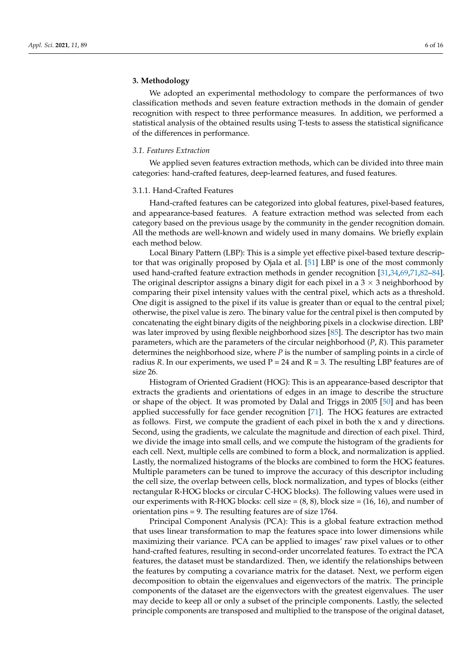### <span id="page-5-0"></span>**3. Methodology**

We adopted an experimental methodology to compare the performances of two classification methods and seven feature extraction methods in the domain of gender recognition with respect to three performance measures. In addition, we performed a statistical analysis of the obtained results using T-tests to assess the statistical significance of the differences in performance.

### *3.1. Features Extraction*

We applied seven features extraction methods, which can be divided into three main categories: hand-crafted features, deep-learned features, and fused features.

#### 3.1.1. Hand-Crafted Features

Hand-crafted features can be categorized into global features, pixel-based features, and appearance-based features. A feature extraction method was selected from each category based on the previous usage by the community in the gender recognition domain. All the methods are well-known and widely used in many domains. We briefly explain each method below.

Local Binary Pattern (LBP): This is a simple yet effective pixel-based texture descriptor that was originally proposed by Ojala et al. [\[51\]](#page-13-12) LBP is one of the most commonly used hand-crafted feature extraction methods in gender recognition [\[31,](#page-12-23)[34,](#page-12-18)[69,](#page-14-5)[71,](#page-14-6)[82](#page-14-7)[–84\]](#page-14-8). The original descriptor assigns a binary digit for each pixel in a  $3 \times 3$  neighborhood by comparing their pixel intensity values with the central pixel, which acts as a threshold. One digit is assigned to the pixel if its value is greater than or equal to the central pixel; otherwise, the pixel value is zero. The binary value for the central pixel is then computed by concatenating the eight binary digits of the neighboring pixels in a clockwise direction. LBP was later improved by using flexible neighborhood sizes [\[85\]](#page-14-9). The descriptor has two main parameters, which are the parameters of the circular neighborhood (*P*, *R*). This parameter determines the neighborhood size, where *P* is the number of sampling points in a circle of radius *R*. In our experiments, we used  $P = 24$  and  $R = 3$ . The resulting LBP features are of size 26.

Histogram of Oriented Gradient (HOG): This is an appearance-based descriptor that extracts the gradients and orientations of edges in an image to describe the structure or shape of the object. It was promoted by Dalal and Triggs in 2005 [\[50\]](#page-13-11) and has been applied successfully for face gender recognition [\[71\]](#page-14-6). The HOG features are extracted as follows. First, we compute the gradient of each pixel in both the x and y directions. Second, using the gradients, we calculate the magnitude and direction of each pixel. Third, we divide the image into small cells, and we compute the histogram of the gradients for each cell. Next, multiple cells are combined to form a block, and normalization is applied. Lastly, the normalized histograms of the blocks are combined to form the HOG features. Multiple parameters can be tuned to improve the accuracy of this descriptor including the cell size, the overlap between cells, block normalization, and types of blocks (either rectangular R-HOG blocks or circular C-HOG blocks). The following values were used in our experiments with R-HOG blocks: cell size  $=(8, 8)$ , block size  $=(16, 16)$ , and number of orientation pins = 9. The resulting features are of size 1764.

Principal Component Analysis (PCA): This is a global feature extraction method that uses linear transformation to map the features space into lower dimensions while maximizing their variance. PCA can be applied to images' raw pixel values or to other hand-crafted features, resulting in second-order uncorrelated features. To extract the PCA features, the dataset must be standardized. Then, we identify the relationships between the features by computing a covariance matrix for the dataset. Next, we perform eigen decomposition to obtain the eigenvalues and eigenvectors of the matrix. The principle components of the dataset are the eigenvectors with the greatest eigenvalues. The user may decide to keep all or only a subset of the principle components. Lastly, the selected principle components are transposed and multiplied to the transpose of the original dataset,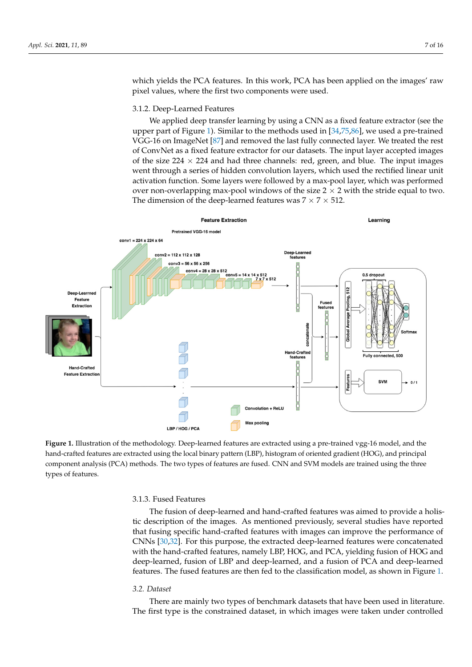which yields the PCA features. In this work, PCA has been applied on the images' raw pixel values, where the first two components were used.

### 3.1.2. Deep-Learned Features 3.1.2. Deep-Learned Features

We applied deep transfer learning by using a CNN as a fixed feature extractor (see the We applied deep transfer learning by using a CNN as a fixed feature extractor (see upper part of Fi[gu](#page-6-0)re 1). Similar to the methods used in  $[34,75,86]$  $[34,75,86]$  $[34,75,86]$ , we used a pre-trained VGG-16 on ImageNet  $[87]$  and removed the last fully connected layer. We treated the rest of ConvNet as a fixed feature extractor for our datasets. The input layer accepted images of the size  $224 \times 224$  and had three channels: red, green, and blue. The input images went through a series of hidden convolution layers, which used the rectified linear unit went through a series of hidden convolution layers, which used the rectified linear unit activation function. Some layers were followed by a max-pool layer, which was performed activation function. Some layers were followed by a max-pool layer, which was performed over non-overlapping max-pool windows of the size 2  $\times$  2 with the stride equal to two. The dimension of the deep-learned features was  $7 \times 7 \times 512$ .

<span id="page-6-0"></span>

Figure 1. Illustration of the methodology. Deep-learned features are extracted using a pre-trained vgg-16 model, and the hand-crafted features are extracted using the local binary pattern (LBP), histogram of oriented gradient (HOG), and principal component analysis (PCA) methods. The two types of features are fused. CNN and SVM models are trained using the three types of features.

#### $T$  fused features was almost and hand-crafted features was and hand-crafted features was aimed to provide a holistical features was and  $T$ 3.1.3. Fused Features

The fusion of deep-learned and hand-crafted features was aimed to provide a holistic description of the images. As mentioned previously, several studies have reported that fusing specific hand-crafted features with images can improve the performance of CNNs [\[30](#page-12-15)[,32\]](#page-12-16). For this purpose, the extracted deep-learned features were concatenated with the hand-crafted features, namely LBP, HOG, and PCA, yielding fusion of HOG and deep-learned, fusion of LBP and deep-learned, and a fusion of PCA and deep-learned features. The fused features are then fed to the classification model, as shown in Figure [1.](#page-6-0)

#### *3.2. Dataset 3.2. Dataset*

There are mainly two types of benchmark datasets that have been used in literature. There are mainly two types of benchmark datasets that have been used in literature. The first type is the constrained dataset, in which images were taken under controlled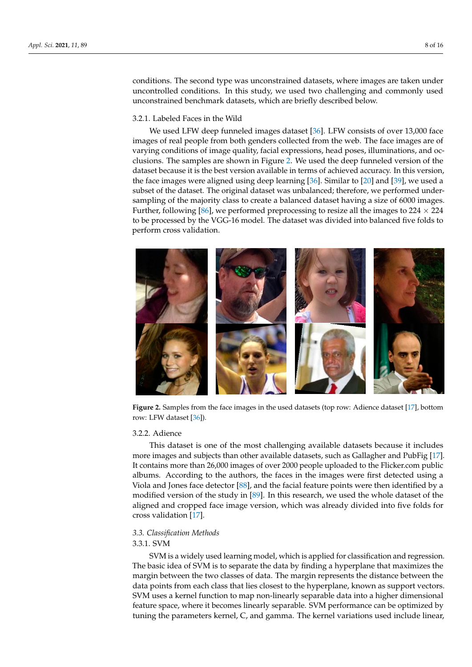conditions. The second type was unconstrained datasets, where images are taken under uncontrolled conditions. In this study, we used two challenging and commonly used unconstrained benchmark datasets, which are briefly described below.

### 3.2.1. Labeled Faces in the Wild 3.2.1. Labeled Faces in the Wild

We used LFW deep funneled images dataset [\[36\]](#page-12-20). LFW consists of over 13,000 face We used LFW deep funneled images dataset [36]. LFW consists of over 13,000 face images of real people from both genders collected from the web. The face images are of images of real people from both genders collected from the web. The face images are of varying conditions of image quality, facial expressions, head poses, illuminations, and oc-varying conditions of image quality, facial expressions, head poses, illuminations, and occlusions. The samples are shown in Figure [2.](#page-7-0) We used the deep funneled version of the clusions. The samples are shown in Figure 2. We used the deep funneled version of the dataset because it is the best version available in terms of achieved accuracy. In this version, the face images were aligned using deep learning  $[36]$ . Similar to  $[20]$  and  $[39]$ , we used a subset of the dataset. The original dataset was unbalanced; therefore, we performed undersampling of the majority class to create a balanced dataset having a size of 6000 images. Further, following [\[86\]](#page-14-11), we performed preprocessing to resize all the images to  $224 \times 224$ to be processed by the VGG-16 model. The dataset was divided into balanced five folds to perform cross validation.  $\frac{1}{2}$  folds to perform construct  $\frac{1}{2}$ 

<span id="page-7-0"></span>

Figure 2. Samples from the face images in the used datasets (top row: Adience dataset [\[17\]](#page-12-3), bottom 3.2.2. Adience row: LFW dataset [\[36\]](#page-12-20)).

### 3.2.2. Adience

This dataset is one of the most challenging available datasets because it includes more images and subjects than other available datasets, such as Gallagher and PubFig [\[17\]](#page-12-3). It contains more than 26,000 images of over 2000 people uploaded to the Flicker.com public albums. According to the authors, the faces in the images were first detected using a Viola and Jones face detector [\[88\]](#page-14-13), and the facial feature points were then identified by a modified version of the study in [\[89\]](#page-15-0). In this research, we used the whole dataset of the aligned and cropped face image version, which was already divided into five folds for cross validation [\[17\]](#page-12-3).

# *3.3. Classification Methods 3.3. Classification Methods*

### 3.3.1. SVM

SVM is a widely used learning model, which is applied for classification and regression. The basic idea of SVM is to separate the data by finding a hyperplane that maximizes the the margin between the two classes of data. The margin represents the distance between margin between the two classes of data. The margin represents the distance between the data points from each class that lies closest to the hyperplane, known as support vectors. SVM uses a kernel function to map non-linearly separable data into a higher dimensional feature space, where it becomes linearly separable. SVM performance can be optimized by tuning the parameters kernel, C, and gamma. The kernel variations used include linear,

 $\mathcal{L}$  and polynomial kernel. The parameter  $\mathcal{L}$  is used for regularization; if  $C$  is setting; if  $C$  is set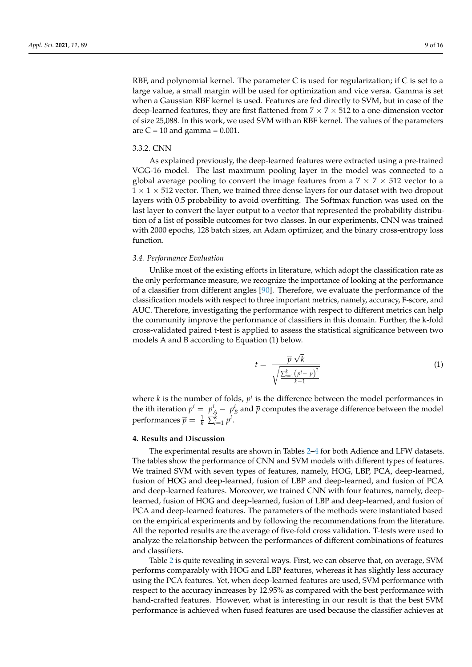RBF, and polynomial kernel. The parameter  $C$  is used for regularization; if  $C$  is set to a large value, a small margin will be used for optimization and vice versa. Gamma is set when a Gaussian RBF kernel is used. Features are fed directly to SVM, but in case of the deep-learned features, they are first flattened from  $7 \times 7 \times 512$  to a one-dimension vector of size 25,088. In this work, we used SVM with an RBF kernel. The values of the parameters are  $C = 10$  and gamma =  $0.001$ .

### 3.3.2. CNN

As explained previously, the deep-learned features were extracted using a pre-trained VGG-16 model. The last maximum pooling layer in the model was connected to a global average pooling to convert the image features from a  $7 \times 7 \times 512$  vector to a  $1 \times 1 \times 512$  vector. Then, we trained three dense layers for our dataset with two dropout layers with 0.5 probability to avoid overfitting. The Softmax function was used on the last layer to convert the layer output to a vector that represented the probability distribution of a list of possible outcomes for two classes. In our experiments, CNN was trained with 2000 epochs, 128 batch sizes, an Adam optimizer, and the binary cross-entropy loss function.

### *3.4. Performance Evaluation*

Unlike most of the existing efforts in literature, which adopt the classification rate as the only performance measure, we recognize the importance of looking at the performance of a classifier from different angles [\[90\]](#page-15-1). Therefore, we evaluate the performance of the classification models with respect to three important metrics, namely, accuracy, F-score, and AUC. Therefore, investigating the performance with respect to different metrics can help the community improve the performance of classifiers in this domain. Further, the k-fold cross-validated paired t-test is applied to assess the statistical significance between two models A and B according to Equation (1) below.

$$
t = \frac{\overline{p}\sqrt{k}}{\sqrt{\frac{\sum_{i=1}^{k}(p^{i}-\overline{p})^{2}}{k-1}}}
$$
(1)

where  $k$  is the number of folds,  $p^i$  is the difference between the model performances in the ith iteration  $p^i = p^i_A - p^i_B$  and  $\overline{p}$  computes the average difference between the model performances  $\overline{p} = \frac{1}{k} \sum_{i=1}^{k} p^{i}$ .

### <span id="page-8-0"></span>**4. Results and Discussion**

The experimental results are shown in Tables [2–](#page-9-0)[4](#page-10-1) for both Adience and LFW datasets. The tables show the performance of CNN and SVM models with different types of features. We trained SVM with seven types of features, namely, HOG, LBP, PCA, deep-learned, fusion of HOG and deep-learned, fusion of LBP and deep-learned, and fusion of PCA and deep-learned features. Moreover, we trained CNN with four features, namely, deeplearned, fusion of HOG and deep-learned, fusion of LBP and deep-learned, and fusion of PCA and deep-learned features. The parameters of the methods were instantiated based on the empirical experiments and by following the recommendations from the literature. All the reported results are the average of five-fold cross validation. T-tests were used to analyze the relationship between the performances of different combinations of features and classifiers.

Table [2](#page-9-0) is quite revealing in several ways. First, we can observe that, on average, SVM performs comparably with HOG and LBP features, whereas it has slightly less accuracy using the PCA features. Yet, when deep-learned features are used, SVM performance with respect to the accuracy increases by 12.95% as compared with the best performance with hand-crafted features. However, what is interesting in our result is that the best SVM performance is achieved when fused features are used because the classifier achieves at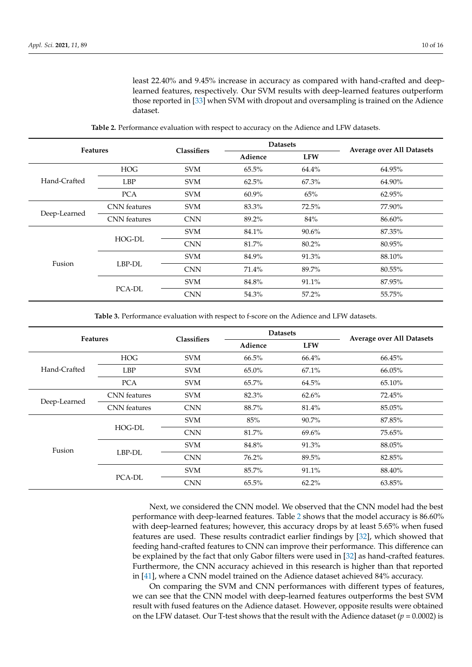least 22.40% and 9.45% increase in accuracy as compared with hand-crafted and deeplearned features, respectively. Our SVM results with deep-learned features outperform those reported in [\[33\]](#page-12-17) when SVM with dropout and oversampling is trained on the Adience dataset.

<span id="page-9-0"></span>

| <b>Features</b> |                     | <b>Classifiers</b> | <b>Datasets</b> |            |                                  |
|-----------------|---------------------|--------------------|-----------------|------------|----------------------------------|
|                 |                     |                    | Adience         | <b>LFW</b> | <b>Average over All Datasets</b> |
|                 | <b>HOG</b>          | <b>SVM</b>         | 65.5%           | 64.4%      | 64.95%                           |
| Hand-Crafted    | <b>LBP</b>          | <b>SVM</b>         | 62.5%           | 67.3%      | 64.90%                           |
|                 | <b>PCA</b>          | <b>SVM</b>         | $60.9\%$        | 65%        | 62.95%                           |
|                 | <b>CNN</b> features | <b>SVM</b>         | 83.3%           | 72.5%      | 77.90%                           |
| Deep-Learned    | <b>CNN</b> features | <b>CNN</b>         | 89.2%           | 84%        | 86.60%                           |
|                 | HOG-DL              | <b>SVM</b>         | 84.1%           | $90.6\%$   | 87.35%                           |
|                 |                     | <b>CNN</b>         | 81.7%           | 80.2%      | 80.95%                           |
|                 |                     | <b>SVM</b>         | 84.9%           | 91.3%      | 88.10%                           |
| Fusion          | LBP-DL              | <b>CNN</b>         | 71.4%           | 89.7%      | 80.55%                           |
|                 |                     | <b>SVM</b>         | 84.8%           | 91.1%      | 87.95%                           |
|                 | PCA-DL              | <b>CNN</b>         | 54.3%           | 57.2%      | 55.75%                           |

**Table 2.** Performance evaluation with respect to accuracy on the Adience and LFW datasets.

**Table 3.** Performance evaluation with respect to f-score on the Adience and LFW datasets.

<span id="page-9-1"></span>

| <b>Features</b> |                     | <b>Classifiers</b> | <b>Datasets</b> |            | <b>Average over All Datasets</b> |
|-----------------|---------------------|--------------------|-----------------|------------|----------------------------------|
|                 |                     |                    | Adience         | <b>LFW</b> |                                  |
|                 | <b>HOG</b>          | <b>SVM</b>         | 66.5%           | 66.4%      | 66.45%                           |
| Hand-Crafted    | <b>LBP</b>          | <b>SVM</b>         | $65.0\%$        | $67.1\%$   | 66.05%                           |
|                 | <b>PCA</b>          | <b>SVM</b>         | 65.7%           | 64.5%      | 65.10%                           |
| Deep-Learned    | <b>CNN</b> features | <b>SVM</b>         | 82.3%           | 62.6%      | 72.45%                           |
|                 | <b>CNN</b> features | <b>CNN</b>         | 88.7%           | 81.4%      | 85.05%                           |
|                 |                     | <b>SVM</b>         | 85%             | 90.7%      | 87.85%                           |
|                 | HOG-DL              | <b>CNN</b>         | 81.7%           | 69.6%      | 75.65%                           |
| Fusion          |                     | <b>SVM</b>         | 84.8%           | 91.3%      | 88.05%                           |
|                 | LBP-DL              | <b>CNN</b>         | 76.2%           | 89.5%      | 82.85%                           |
|                 | PCA-DL              | <b>SVM</b>         | 85.7%           | 91.1%      | 88.40%                           |
|                 |                     | <b>CNN</b>         | 65.5%           | $62.2\%$   | 63.85%                           |

Next, we considered the CNN model. We observed that the CNN model had the best performance with deep-learned features. Table [2](#page-9-0) shows that the model accuracy is 86.60% with deep-learned features; however, this accuracy drops by at least 5.65% when fused features are used. These results contradict earlier findings by [\[32\]](#page-12-16), which showed that feeding hand-crafted features to CNN can improve their performance. This difference can be explained by the fact that only Gabor filters were used in [\[32\]](#page-12-16) as hand-crafted features. Furthermore, the CNN accuracy achieved in this research is higher than that reported in [\[41\]](#page-13-3), where a CNN model trained on the Adience dataset achieved 84% accuracy.

On comparing the SVM and CNN performances with different types of features, we can see that the CNN model with deep-learned features outperforms the best SVM result with fused features on the Adience dataset. However, opposite results were obtained on the LFW dataset. Our T-test shows that the result with the Adience dataset ( $p = 0.0002$ ) is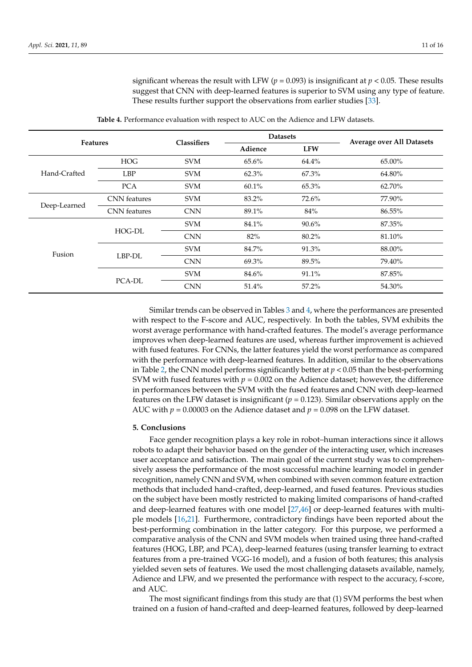significant whereas the result with LFW ( $p = 0.093$ ) is insignificant at  $p < 0.05$ . These results suggest that CNN with deep-learned features is superior to SVM using any type of feature. These results further support the observations from earlier studies [\[33\]](#page-12-17).

<span id="page-10-1"></span>

| <b>Features</b> |                     | <b>Classifiers</b> | <b>Datasets</b> |            | <b>Average over All Datasets</b> |
|-----------------|---------------------|--------------------|-----------------|------------|----------------------------------|
|                 |                     |                    | Adience         | <b>LFW</b> |                                  |
|                 | <b>HOG</b>          | <b>SVM</b>         | 65.6%           | 64.4%      | 65.00%                           |
| Hand-Crafted    | <b>LBP</b>          | <b>SVM</b>         | 62.3%           | 67.3%      | 64.80%                           |
|                 | <b>PCA</b>          | <b>SVM</b>         | 60.1%           | 65.3%      | 62.70%                           |
|                 | CNN features        | <b>SVM</b>         | 83.2%           | 72.6%      | 77.90%                           |
| Deep-Learned    | <b>CNN</b> features | <b>CNN</b>         | 89.1%           | 84%        | 86.55%                           |
|                 |                     | <b>SVM</b>         | 84.1%           | 90.6%      | 87.35%                           |
|                 | HOG-DL              | <b>CNN</b>         | 82%             | 80.2%      | 81.10%                           |
| Fusion          | LBP-DL              | <b>SVM</b>         | 84.7%           | 91.3%      | 88.00%                           |
|                 |                     | <b>CNN</b>         | 69.3%           | 89.5%      | 79.40%                           |
|                 | PCA-DL              | <b>SVM</b>         | 84.6%           | 91.1%      | 87.85%                           |
|                 |                     | <b>CNN</b>         | 51.4%           | 57.2%      | 54.30%                           |

**Table 4.** Performance evaluation with respect to AUC on the Adience and LFW datasets.

Similar trends can be observed in Tables [3](#page-9-1) and [4,](#page-10-1) where the performances are presented with respect to the F-score and AUC, respectively. In both the tables, SVM exhibits the worst average performance with hand-crafted features. The model's average performance improves when deep-learned features are used, whereas further improvement is achieved with fused features. For CNNs, the latter features yield the worst performance as compared with the performance with deep-learned features. In addition, similar to the observations in Table [2,](#page-9-0) the CNN model performs significantly better at  $p < 0.05$  than the best-performing SVM with fused features with  $p = 0.002$  on the Adience dataset; however, the difference in performances between the SVM with the fused features and CNN with deep-learned features on the LFW dataset is insignificant  $(p = 0.123)$ . Similar observations apply on the AUC with  $p = 0.00003$  on the Adience dataset and  $p = 0.098$  on the LFW dataset.

### <span id="page-10-0"></span>**5. Conclusions**

Face gender recognition plays a key role in robot–human interactions since it allows robots to adapt their behavior based on the gender of the interacting user, which increases user acceptance and satisfaction. The main goal of the current study was to comprehensively assess the performance of the most successful machine learning model in gender recognition, namely CNN and SVM, when combined with seven common feature extraction methods that included hand-crafted, deep-learned, and fused features. Previous studies on the subject have been mostly restricted to making limited comparisons of hand-crafted and deep-learned features with one model [\[27](#page-12-25)[,46\]](#page-13-24) or deep-learned features with multiple models [\[16,](#page-12-2)[21\]](#page-12-21). Furthermore, contradictory findings have been reported about the best-performing combination in the latter category. For this purpose, we performed a comparative analysis of the CNN and SVM models when trained using three hand-crafted features (HOG, LBP, and PCA), deep-learned features (using transfer learning to extract features from a pre-trained VGG-16 model), and a fusion of both features; this analysis yielded seven sets of features. We used the most challenging datasets available, namely, Adience and LFW, and we presented the performance with respect to the accuracy, f-score, and AUC.

The most significant findings from this study are that (1) SVM performs the best when trained on a fusion of hand-crafted and deep-learned features, followed by deep-learned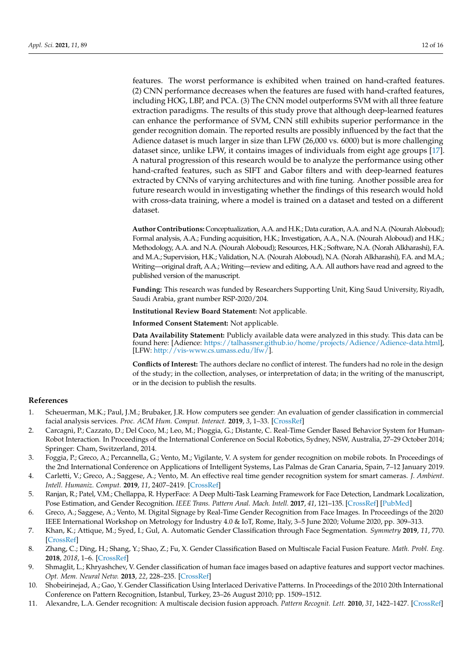features. The worst performance is exhibited when trained on hand-crafted features. (2) CNN performance decreases when the features are fused with hand-crafted features, including HOG, LBP, and PCA. (3) The CNN model outperforms SVM with all three feature extraction paradigms. The results of this study prove that although deep-learned features can enhance the performance of SVM, CNN still exhibits superior performance in the gender recognition domain. The reported results are possibly influenced by the fact that the Adience dataset is much larger in size than LFW (26,000 vs. 6000) but is more challenging dataset since, unlike LFW, it contains images of individuals from eight age groups [\[17\]](#page-12-3). A natural progression of this research would be to analyze the performance using other hand-crafted features, such as SIFT and Gabor filters and with deep-learned features extracted by CNNs of varying architectures and with fine tuning. Another possible area for future research would in investigating whether the findings of this research would hold with cross-data training, where a model is trained on a dataset and tested on a different dataset.

**Author Contributions:** Conceptualization, A.A. and H.K.; Data curation, A.A. and N.A. (Nourah Aloboud); Formal analysis, A.A.; Funding acquisition, H.K.; Investigation, A.A., N.A. (Nourah Aloboud) and H.K.; Methodology, A.A. and N.A. (Nourah Aloboud); Resources, H.K.; Software, N.A. (Norah Alkharashi), F.A. and M.A.; Supervision, H.K.; Validation, N.A. (Nourah Aloboud), N.A. (Norah Alkharashi), F.A. and M.A.; Writing—original draft, A.A.; Writing—review and editing, A.A. All authors have read and agreed to the published version of the manuscript.

**Funding:** This research was funded by Researchers Supporting Unit, King Saud University, Riyadh, Saudi Arabia, grant number RSP-2020/204.

**Institutional Review Board Statement:** Not applicable.

**Informed Consent Statement:** Not applicable.

**Data Availability Statement:** Publicly available data were analyzed in this study. This data can be found here: [Adience: [https://talhassner.github.io/home/projects/Adience/Adience-data.html\]](https://talhassner.github.io/home/projects/Adience/Adience-data.html), [LFW: [http://vis-www.cs.umass.edu/lfw/\]](http://vis-www.cs.umass.edu/lfw/).

**Conflicts of Interest:** The authors declare no conflict of interest. The funders had no role in the design of the study; in the collection, analyses, or interpretation of data; in the writing of the manuscript, or in the decision to publish the results.

#### **References**

- <span id="page-11-0"></span>1. Scheuerman, M.K.; Paul, J.M.; Brubaker, J.R. How computers see gender: An evaluation of gender classification in commercial facial analysis services. *Proc. ACM Hum. Comput. Interact.* **2019**, *3*, 1–33. [\[CrossRef\]](http://dx.doi.org/10.1145/3359246)
- <span id="page-11-1"></span>2. Carcagnì, P.; Cazzato, D.; Del Coco, M.; Leo, M.; Pioggia, G.; Distante, C. Real-Time Gender Based Behavior System for Human-Robot Interaction. In Proceedings of the International Conference on Social Robotics, Sydney, NSW, Australia, 27–29 October 2014; Springer: Cham, Switzerland, 2014.
- 3. Foggia, P.; Greco, A.; Percannella, G.; Vento, M.; Vigilante, V. A system for gender recognition on mobile robots. In Proceedings of the 2nd International Conference on Applications of Intelligent Systems, Las Palmas de Gran Canaria, Spain, 7–12 January 2019.
- 4. Carletti, V.; Greco, A.; Saggese, A.; Vento, M. An effective real time gender recognition system for smart cameras. *J. Ambient. Intell. Humaniz. Comput.* **2019**, *11*, 2407–2419. [\[CrossRef\]](http://dx.doi.org/10.1007/s12652-019-01267-5)
- <span id="page-11-7"></span>5. Ranjan, R.; Patel, V.M.; Chellappa, R. HyperFace: A Deep Multi-Task Learning Framework for Face Detection, Landmark Localization, Pose Estimation, and Gender Recognition. *IEEE Trans. Pattern Anal. Mach. Intell.* **2017**, *41*, 121–135. [\[CrossRef\]](http://dx.doi.org/10.1109/TPAMI.2017.2781233) [\[PubMed\]](http://www.ncbi.nlm.nih.gov/pubmed/29990235)
- 6. Greco, A.; Saggese, A.; Vento, M. Digital Signage by Real-Time Gender Recognition from Face Images. In Proceedings of the 2020 IEEE International Workshop on Metrology for Industry 4.0 & IoT, Rome, Italy, 3–5 June 2020; Volume 2020, pp. 309–313.
- <span id="page-11-2"></span>7. Khan, K.; Attique, M.; Syed, I.; Gul, A. Automatic Gender Classification through Face Segmentation. *Symmetry* **2019**, *11*, 770. [\[CrossRef\]](http://dx.doi.org/10.3390/sym11060770)
- <span id="page-11-3"></span>8. Zhang, C.; Ding, H.; Shang, Y.; Shao, Z.; Fu, X. Gender Classification Based on Multiscale Facial Fusion Feature. *Math. Probl. Eng.* **2018**, *2018*, 1–6. [\[CrossRef\]](http://dx.doi.org/10.1155/2018/1924151)
- <span id="page-11-6"></span>9. Shmaglit, L.; Khryashchev, V. Gender classification of human face images based on adaptive features and support vector machines. *Opt. Mem. Neural Netw.* **2013**, *22*, 228–235. [\[CrossRef\]](http://dx.doi.org/10.3103/S1060992X13040036)
- <span id="page-11-4"></span>10. Shobeirinejad, A.; Gao, Y. Gender Classification Using Interlaced Derivative Patterns. In Proceedings of the 2010 20th International Conference on Pattern Recognition, Istanbul, Turkey, 23–26 August 2010; pp. 1509–1512.
- <span id="page-11-5"></span>11. Alexandre, L.A. Gender recognition: A multiscale decision fusion approach. *Pattern Recognit. Lett.* **2010**, *31*, 1422–1427. [\[CrossRef\]](http://dx.doi.org/10.1016/j.patrec.2010.02.010)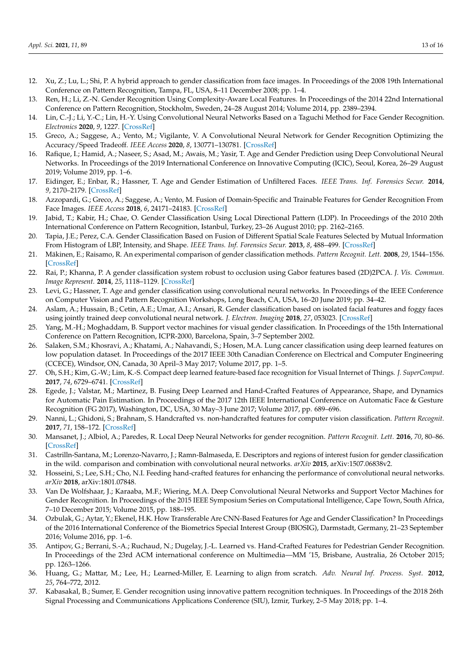- <span id="page-12-24"></span>12. Xu, Z.; Lu, L.; Shi, P. A hybrid approach to gender classification from face images. In Proceedings of the 2008 19th International Conference on Pattern Recognition, Tampa, FL, USA, 8–11 December 2008; pp. 1–4.
- <span id="page-12-0"></span>13. Ren, H.; Li, Z.-N. Gender Recognition Using Complexity-Aware Local Features. In Proceedings of the 2014 22nd International Conference on Pattern Recognition, Stockholm, Sweden, 24–28 August 2014; Volume 2014, pp. 2389–2394.
- <span id="page-12-1"></span>14. Lin, C.-J.; Li, Y.-C.; Lin, H.-Y. Using Convolutional Neural Networks Based on a Taguchi Method for Face Gender Recognition. *Electronics* **2020**, *9*, 1227. [\[CrossRef\]](http://dx.doi.org/10.3390/electronics9081227)
- <span id="page-12-4"></span>15. Greco, A.; Saggese, A.; Vento, M.; Vigilante, V. A Convolutional Neural Network for Gender Recognition Optimizing the Accuracy/Speed Tradeoff. *IEEE Access* **2020**, *8*, 130771–130781. [\[CrossRef\]](http://dx.doi.org/10.1109/ACCESS.2020.3008793)
- <span id="page-12-2"></span>16. Rafique, I.; Hamid, A.; Naseer, S.; Asad, M.; Awais, M.; Yasir, T. Age and Gender Prediction using Deep Convolutional Neural Networks. In Proceedings of the 2019 International Conference on Innovative Computing (ICIC), Seoul, Korea, 26–29 August 2019; Volume 2019, pp. 1–6.
- <span id="page-12-3"></span>17. Eidinger, E.; Enbar, R.; Hassner, T. Age and Gender Estimation of Unfiltered Faces. *IEEE Trans. Inf. Forensics Secur.* **2014**, *9*, 2170–2179. [\[CrossRef\]](http://dx.doi.org/10.1109/TIFS.2014.2359646)
- <span id="page-12-5"></span>18. Azzopardi, G.; Greco, A.; Saggese, A.; Vento, M. Fusion of Domain-Specific and Trainable Features for Gender Recognition From Face Images. *IEEE Access* **2018**, *6*, 24171–24183. [\[CrossRef\]](http://dx.doi.org/10.1109/ACCESS.2018.2823378)
- <span id="page-12-6"></span>19. Jabid, T.; Kabir, H.; Chae, O. Gender Classification Using Local Directional Pattern (LDP). In Proceedings of the 2010 20th International Conference on Pattern Recognition, Istanbul, Turkey, 23–26 August 2010; pp. 2162–2165.
- <span id="page-12-8"></span>20. Tapia, J.E.; Perez, C.A. Gender Classification Based on Fusion of Different Spatial Scale Features Selected by Mutual Information From Histogram of LBP, Intensity, and Shape. *IEEE Trans. Inf. Forensics Secur.* **2013**, *8*, 488–499. [\[CrossRef\]](http://dx.doi.org/10.1109/TIFS.2013.2242063)
- <span id="page-12-21"></span>21. Mäkinen, E.; Raisamo, R. An experimental comparison of gender classification methods. *Pattern Recognit. Lett.* **2008**, *29*, 1544–1556. [\[CrossRef\]](http://dx.doi.org/10.1016/j.patrec.2008.03.016)
- <span id="page-12-7"></span>22. Rai, P.; Khanna, P. A gender classification system robust to occlusion using Gabor features based (2D)2PCA. *J. Vis. Commun. Image Represent.* **2014**, *25*, 1118–1129. [\[CrossRef\]](http://dx.doi.org/10.1016/j.jvcir.2014.03.009)
- <span id="page-12-9"></span>23. Levi, G.; Hassner, T. Age and gender classification using convolutional neural networks. In Proceedings of the IEEE Conference on Computer Vision and Pattern Recognition Workshops, Long Beach, CA, USA, 16–20 June 2019; pp. 34–42.
- <span id="page-12-10"></span>24. Aslam, A.; Hussain, B.; Cetin, A.E.; Umar, A.I.; Ansari, R. Gender classification based on isolated facial features and foggy faces using jointly trained deep convolutional neural network. *J. Electron. Imaging* **2018**, *27*, 053023. [\[CrossRef\]](http://dx.doi.org/10.1117/1.JEI.27.5.053023)
- <span id="page-12-11"></span>25. Yang, M.-H.; Moghaddam, B. Support vector machines for visual gender classification. In Proceedings of the 15th International Conference on Pattern Recognition, ICPR-2000, Barcelona, Spain, 3–7 September 2002.
- <span id="page-12-12"></span>26. Salaken, S.M.; Khosravi, A.; Khatami, A.; Nahavandi, S.; Hosen, M.A. Lung cancer classification using deep learned features on low population dataset. In Proceedings of the 2017 IEEE 30th Canadian Conference on Electrical and Computer Engineering (CCECE), Windsor, ON, Canada, 30 April–3 May 2017; Volume 2017, pp. 1–5.
- <span id="page-12-25"></span>27. Oh, S.H.; Kim, G.-W.; Lim, K.-S. Compact deep learned feature-based face recognition for Visual Internet of Things. *J. SuperComput.* **2017**, *74*, 6729–6741. [\[CrossRef\]](http://dx.doi.org/10.1007/s11227-017-2198-0)
- <span id="page-12-13"></span>28. Egede, J.; Valstar, M.; Martinez, B. Fusing Deep Learned and Hand-Crafted Features of Appearance, Shape, and Dynamics for Automatic Pain Estimation. In Proceedings of the 2017 12th IEEE International Conference on Automatic Face & Gesture Recognition (FG 2017), Washington, DC, USA, 30 May–3 June 2017; Volume 2017, pp. 689–696.
- <span id="page-12-14"></span>29. Nanni, L.; Ghidoni, S.; Brahnam, S. Handcrafted vs. non-handcrafted features for computer vision classification. *Pattern Recognit.* **2017**, *71*, 158–172. [\[CrossRef\]](http://dx.doi.org/10.1016/j.patcog.2017.05.025)
- <span id="page-12-15"></span>30. Mansanet, J.; Albiol, A.; Paredes, R. Local Deep Neural Networks for gender recognition. *Pattern Recognit. Lett.* **2016**, *70*, 80–86. [\[CrossRef\]](http://dx.doi.org/10.1016/j.patrec.2015.11.015)
- <span id="page-12-23"></span>31. Castrilln-Santana, M.; Lorenzo-Navarro, J.; Ramn-Balmaseda, E. Descriptors and regions of interest fusion for gender classification in the wild. comparison and combination with convolutional neural networks. *arXiv* **2015**, arXiv:1507.06838v2.
- <span id="page-12-16"></span>32. Hosseini, S.; Lee, S.H.; Cho, N.I. Feeding hand-crafted features for enhancing the performance of convolutional neural networks. *arXiv* **2018**, arXiv:1801.07848.
- <span id="page-12-17"></span>33. Van De Wolfshaar, J.; Karaaba, M.F.; Wiering, M.A. Deep Convolutional Neural Networks and Support Vector Machines for Gender Recognition. In Proceedings of the 2015 IEEE Symposium Series on Computational Intelligence, Cape Town, South Africa, 7–10 December 2015; Volume 2015, pp. 188–195.
- <span id="page-12-18"></span>34. Ozbulak, G.; Aytar, Y.; Ekenel, H.K. How Transferable Are CNN-Based Features for Age and Gender Classification? In Proceedings of the 2016 International Conference of the Biometrics Special Interest Group (BIOSIG), Darmstadt, Germany, 21–23 September 2016; Volume 2016, pp. 1–6.
- <span id="page-12-19"></span>35. Antipov, G.; Berrani, S.-A.; Ruchaud, N.; Dugelay, J.-L. Learned vs. Hand-Crafted Features for Pedestrian Gender Recognition. In Proceedings of the 23rd ACM international conference on Multimedia—MM '15, Brisbane, Australia, 26 October 2015; pp. 1263–1266.
- <span id="page-12-20"></span>36. Huang, G.; Mattar, M.; Lee, H.; Learned-Miller, E. Learning to align from scratch. *Adv. Neural Inf. Process. Syst.* **2012**, *25*, 764–772, 2012.
- <span id="page-12-22"></span>37. Kabasakal, B.; Sumer, E. Gender recognition using innovative pattern recognition techniques. In Proceedings of the 2018 26th Signal Processing and Communications Applications Conference (SIU), Izmir, Turkey, 2–5 May 2018; pp. 1–4.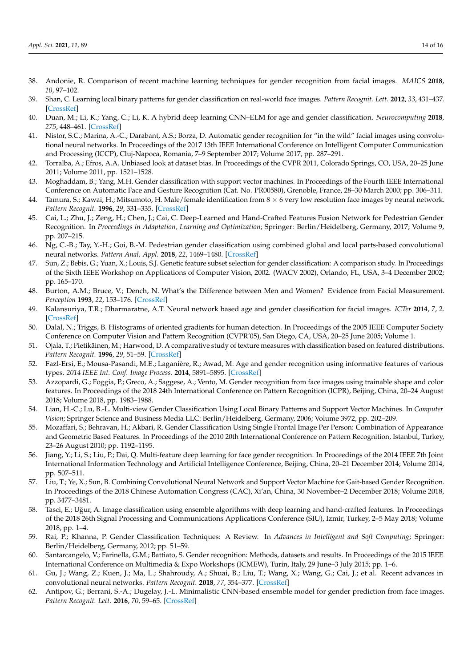- <span id="page-13-0"></span>38. Andonie, R. Comparison of recent machine learning techniques for gender recognition from facial images. *MAICS* **2018**, *10*, 97–102.
- <span id="page-13-1"></span>39. Shan, C. Learning local binary patterns for gender classification on real-world face images. *Pattern Recognit. Lett.* **2012**, *33*, 431–437. [\[CrossRef\]](http://dx.doi.org/10.1016/j.patrec.2011.05.016)
- <span id="page-13-2"></span>40. Duan, M.; Li, K.; Yang, C.; Li, K. A hybrid deep learning CNN–ELM for age and gender classification. *Neurocomputing* **2018**, *275*, 448–461. [\[CrossRef\]](http://dx.doi.org/10.1016/j.neucom.2017.08.062)
- <span id="page-13-3"></span>41. Nistor, S.C.; Marina, A.-C.; Darabant, A.S.; Borza, D. Automatic gender recognition for "in the wild" facial images using convolutional neural networks. In Proceedings of the 2017 13th IEEE International Conference on Intelligent Computer Communication and Processing (ICCP), Cluj-Napoca, Romania, 7–9 September 2017; Volume 2017, pp. 287–291.
- <span id="page-13-4"></span>42. Torralba, A.; Efros, A.A. Unbiased look at dataset bias. In Proceedings of the CVPR 2011, Colorado Springs, CO, USA, 20–25 June 2011; Volume 2011, pp. 1521–1528.
- <span id="page-13-5"></span>43. Moghaddam, B.; Yang, M.H. Gender classification with support vector machines. In Proceedings of the Fourth IEEE International Conference on Automatic Face and Gesture Recognition (Cat. No. PR00580), Grenoble, France, 28–30 March 2000; pp. 306–311.
- <span id="page-13-6"></span>44. Tamura, S.; Kawai, H.; Mitsumoto, H. Male/female identification from 8 × 6 very low resolution face images by neural network. *Pattern Recognit.* **1996**, *29*, 331–335. [\[CrossRef\]](http://dx.doi.org/10.1016/0031-3203(95)00073-9)
- <span id="page-13-7"></span>45. Cai, L.; Zhu, J.; Zeng, H.; Chen, J.; Cai, C. Deep-Learned and Hand-Crafted Features Fusion Network for Pedestrian Gender Recognition. In *Proceedings in Adaptation, Learning and Optimization*; Springer: Berlin/Heidelberg, Germany, 2017; Volume 9, pp. 207–215.
- <span id="page-13-24"></span>46. Ng, C.-B.; Tay, Y.-H.; Goi, B.-M. Pedestrian gender classification using combined global and local parts-based convolutional neural networks. *Pattern Anal. Appl.* **2018**, *22*, 1469–1480. [\[CrossRef\]](http://dx.doi.org/10.1007/s10044-018-0725-0)
- <span id="page-13-8"></span>47. Sun, Z.; Bebis, G.; Yuan, X.; Louis, S.J. Genetic feature subset selection for gender classification: A comparison study. In Proceedings of the Sixth IEEE Workshop on Applications of Computer Vision, 2002. (WACV 2002), Orlando, FL, USA, 3–4 December 2002; pp. 165–170.
- <span id="page-13-9"></span>48. Burton, A.M.; Bruce, V.; Dench, N. What's the Difference between Men and Women? Evidence from Facial Measurement. *Perception* **1993**, *22*, 153–176. [\[CrossRef\]](http://dx.doi.org/10.1068/p220153)
- <span id="page-13-10"></span>49. Kalansuriya, T.R.; Dharmaratne, A.T. Neural network based age and gender classification for facial images. *ICTer* **2014**, *7*, 2. [\[CrossRef\]](http://dx.doi.org/10.4038/icter.v7i2.7178)
- <span id="page-13-11"></span>50. Dalal, N.; Triggs, B. Histograms of oriented gradients for human detection. In Proceedings of the 2005 IEEE Computer Society Conference on Computer Vision and Pattern Recognition (CVPR'05), San Diego, CA, USA, 20–25 June 2005; Volume 1.
- <span id="page-13-12"></span>51. Ojala, T.; Pietikäinen, M.; Harwood, D. A comparative study of texture measures with classification based on featured distributions. *Pattern Recognit.* **1996**, *29*, 51–59. [\[CrossRef\]](http://dx.doi.org/10.1016/0031-3203(95)00067-4)
- <span id="page-13-13"></span>52. Fazl-Ersi, E.; Mousa-Pasandi, M.E.; Laganière, R.; Awad, M. Age and gender recognition using informative features of various types. *2014 IEEE Int. Conf. Image Process.* **2014**, 5891–5895. [\[CrossRef\]](http://dx.doi.org/10.1109/icip.2014.7026190)
- <span id="page-13-14"></span>53. Azzopardi, G.; Foggia, P.; Greco, A.; Saggese, A.; Vento, M. Gender recognition from face images using trainable shape and color features. In Proceedings of the 2018 24th International Conference on Pattern Recognition (ICPR), Beijing, China, 20–24 August 2018; Volume 2018, pp. 1983–1988.
- <span id="page-13-15"></span>54. Lian, H.-C.; Lu, B.-L. Multi-view Gender Classification Using Local Binary Patterns and Support Vector Machines. In *Computer Vision*; Springer Science and Business Media LLC: Berlin/Heidelberg, Germany, 2006; Volume 3972, pp. 202–209.
- <span id="page-13-16"></span>55. Mozaffari, S.; Behravan, H.; Akbari, R. Gender Classification Using Single Frontal Image Per Person: Combination of Appearance and Geometric Based Features. In Proceedings of the 2010 20th International Conference on Pattern Recognition, Istanbul, Turkey, 23–26 August 2010; pp. 1192–1195.
- <span id="page-13-17"></span>56. Jiang, Y.; Li, S.; Liu, P.; Dai, Q. Multi-feature deep learning for face gender recognition. In Proceedings of the 2014 IEEE 7th Joint International Information Technology and Artificial Intelligence Conference, Beijing, China, 20–21 December 2014; Volume 2014, pp. 507–511.
- <span id="page-13-18"></span>57. Liu, T.; Ye, X.; Sun, B. Combining Convolutional Neural Network and Support Vector Machine for Gait-based Gender Recognition. In Proceedings of the 2018 Chinese Automation Congress (CAC), Xi'an, China, 30 November–2 December 2018; Volume 2018, pp. 3477–3481.
- <span id="page-13-19"></span>58. Tasci, E.; Uğur, A. Image classification using ensemble algorithms with deep learning and hand-crafted features. In Proceedings of the 2018 26th Signal Processing and Communications Applications Conference (SIU), Izmir, Turkey, 2–5 May 2018; Volume 2018, pp. 1–4.
- <span id="page-13-20"></span>59. Rai, P.; Khanna, P. Gender Classification Techniques: A Review. In *Advances in Intelligent and Soft Computing*; Springer: Berlin/Heidelberg, Germany, 2012; pp. 51–59.
- <span id="page-13-21"></span>60. Santarcangelo, V.; Farinella, G.M.; Battiato, S. Gender recognition: Methods, datasets and results. In Proceedings of the 2015 IEEE International Conference on Multimedia & Expo Workshops (ICMEW), Turin, Italy, 29 June–3 July 2015; pp. 1–6.
- <span id="page-13-22"></span>61. Gu, J.; Wang, Z.; Kuen, J.; Ma, L.; Shahroudy, A.; Shuai, B.; Liu, T.; Wang, X.; Wang, G.; Cai, J.; et al. Recent advances in convolutional neural networks. *Pattern Recognit.* **2018**, *77*, 354–377. [\[CrossRef\]](http://dx.doi.org/10.1016/j.patcog.2017.10.013)
- <span id="page-13-23"></span>62. Antipov, G.; Berrani, S.-A.; Dugelay, J.-L. Minimalistic CNN-based ensemble model for gender prediction from face images. *Pattern Recognit. Lett.* **2016**, *70*, 59–65. [\[CrossRef\]](http://dx.doi.org/10.1016/j.patrec.2015.11.011)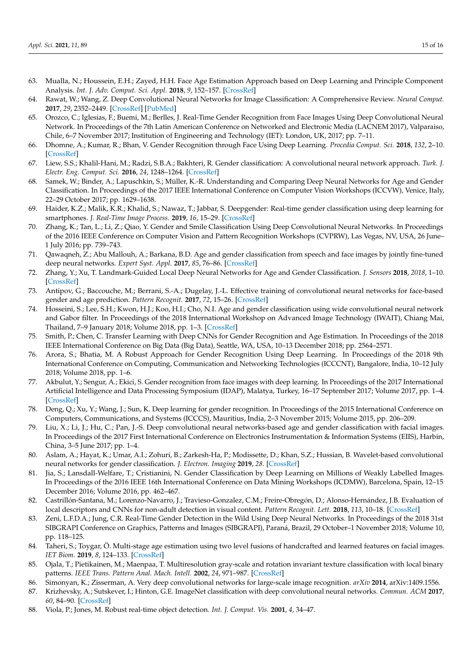- <span id="page-14-3"></span>63. Mualla, N.; Houssein, E.H.; Zayed, H.H. Face Age Estimation Approach based on Deep Learning and Principle Component Analysis. *Int. J. Adv. Comput. Sci. Appl.* **2018**, *9*, 152–157. [\[CrossRef\]](http://dx.doi.org/10.14569/IJACSA.2018.090222)
- <span id="page-14-0"></span>64. Rawat, W.; Wang, Z. Deep Convolutional Neural Networks for Image Classification: A Comprehensive Review. *Neural Comput.* **2017**, *29*, 2352–2449. [\[CrossRef\]](http://dx.doi.org/10.1162/neco_a_00990) [\[PubMed\]](http://www.ncbi.nlm.nih.gov/pubmed/28599112)
- <span id="page-14-1"></span>65. Orozco, C.; Iglesias, F.; Buemi, M.; Berlles, J. Real-Time Gender Recognition from Face Images Using Deep Convolutional Neural Network. In Proceedings of the 7th Latin American Conference on Networked and Electronic Media (LACNEM 2017), Valparaiso, Chile, 6–7 November 2017; Institution of Engineering and Technology (IET): London, UK, 2017; pp. 7–11.
- 66. Dhomne, A.; Kumar, R.; Bhan, V. Gender Recognition through Face Using Deep Learning. *Procedia Comput. Sci.* **2018**, *132*, 2–10. [\[CrossRef\]](http://dx.doi.org/10.1016/j.procs.2018.05.053)
- 67. Liew, S.S.; Khalil-Hani, M.; Radzi, S.B.A.; Bakhteri, R. Gender classification: A convolutional neural network approach. *Turk. J. Electr. Eng. Comput. Sci.* **2016**, *24*, 1248–1264. [\[CrossRef\]](http://dx.doi.org/10.3906/elk-1311-58)
- Samek, W.; Binder, A.; Lapuschkin, S.; Müller, K.-R. Understanding and Comparing Deep Neural Networks for Age and Gender Classification. In Proceedings of the 2017 IEEE International Conference on Computer Vision Workshops (ICCVW), Venice, Italy, 22–29 October 2017; pp. 1629–1638.
- <span id="page-14-5"></span>69. Haider, K.Z.; Malik, K.R.; Khalid, S.; Nawaz, T.; Jabbar, S. Deepgender: Real-time gender classification using deep learning for smartphones. *J. Real-Time Image Process.* **2019**, *16*, 15–29. [\[CrossRef\]](http://dx.doi.org/10.1007/s11554-017-0714-3)
- 70. Zhang, K.; Tan, L.; Li, Z.; Qiao, Y. Gender and Smile Classification Using Deep Convolutional Neural Networks. In Proceedings of the 2016 IEEE Conference on Computer Vision and Pattern Recognition Workshops (CVPRW), Las Vegas, NV, USA, 26 June– 1 July 2016; pp. 739–743.
- <span id="page-14-6"></span>71. Qawaqneh, Z.; Abu Mallouh, A.; Barkana, B.D. Age and gender classification from speech and face images by jointly fine-tuned deep neural networks. *Expert Syst. Appl.* **2017**, *85*, 76–86. [\[CrossRef\]](http://dx.doi.org/10.1016/j.eswa.2017.05.037)
- 72. Zhang, Y.; Xu, T. Landmark-Guided Local Deep Neural Networks for Age and Gender Classification. *J. Sensors* **2018**, *2018*, 1–10. [\[CrossRef\]](http://dx.doi.org/10.1155/2018/5034684)
- 73. Antipov, G.; Baccouche, M.; Berrani, S.-A.; Dugelay, J.-L. Effective training of convolutional neural networks for face-based gender and age prediction. *Pattern Recognit.* **2017**, *72*, 15–26. [\[CrossRef\]](http://dx.doi.org/10.1016/j.patcog.2017.06.031)
- 74. Hosseini, S.; Lee, S.H.; Kwon, H.J.; Koo, H.I.; Cho, N.I. Age and gender classification using wide convolutional neural network and Gabor filter. In Proceedings of the 2018 International Workshop on Advanced Image Technology (IWAIT), Chiang Mai, Thailand, 7–9 January 2018; Volume 2018, pp. 1–3. [\[CrossRef\]](http://dx.doi.org/10.1109/iwait.2018.8369721)
- <span id="page-14-10"></span>75. Smith, P.; Chen, C. Transfer Learning with Deep CNNs for Gender Recognition and Age Estimation. In Proceedings of the 2018 IEEE International Conference on Big Data (Big Data), Seattle, WA, USA, 10–13 December 2018; pp. 2564–2571.
- 76. Arora, S.; Bhatia, M. A Robust Approach for Gender Recognition Using Deep Learning. In Proceedings of the 2018 9th International Conference on Computing, Communication and Networking Technologies (ICCCNT), Bangalore, India, 10–12 July 2018; Volume 2018, pp. 1–6.
- 77. Akbulut, Y.; Sengur, A.; Ekici, S. Gender recognition from face images with deep learning. In Proceedings of the 2017 International Artificial Intelligence and Data Processing Symposium (IDAP), Malatya, Turkey, 16–17 September 2017; Volume 2017, pp. 1–4. [\[CrossRef\]](http://dx.doi.org/10.1109/idap.2017.8090181)
- 78. Deng, Q.; Xu, Y.; Wang, J.; Sun, K. Deep learning for gender recognition. In Proceedings of the 2015 International Conference on Computers, Communications, and Systems (ICCCS), Mauritius, India, 2–3 November 2015; Volume 2015, pp. 206–209.
- 79. Liu, X.; Li, J.; Hu, C.; Pan, J.-S. Deep convolutional neural networks-based age and gender classification with facial images. In Proceedings of the 2017 First International Conference on Electronics Instrumentation & Information Systems (EIIS), Harbin, China, 3–5 June 2017; pp. 1–4.
- <span id="page-14-2"></span>80. Aslam, A.; Hayat, K.; Umar, A.I.; Zohuri, B.; Zarkesh-Ha, P.; Modissette, D.; Khan, S.Z.; Hussian, B. Wavelet-based convolutional neural networks for gender classification. *J. Electron. Imaging* **2019**, *28*. [\[CrossRef\]](http://dx.doi.org/10.1117/1.JEI.28.1.013012)
- <span id="page-14-4"></span>81. Jia, S.; Lansdall-Welfare, T.; Cristianini, N. Gender Classification by Deep Learning on Millions of Weakly Labelled Images. In Proceedings of the 2016 IEEE 16th International Conference on Data Mining Workshops (ICDMW), Barcelona, Spain, 12–15 December 2016; Volume 2016, pp. 462–467.
- <span id="page-14-7"></span>82. Castrillón-Santana, M.; Lorenzo-Navarro, J.; Travieso-Gonzalez, C.M.; Freire-Obregón, D.; Alonso-Hernández, J.B. Evaluation of local descriptors and CNNs for non-adult detection in visual content. *Pattern Recognit. Lett.* **2018**, *113*, 10–18. [\[CrossRef\]](http://dx.doi.org/10.1016/j.patrec.2017.03.016)
- 83. Zeni, L.F.D.A.; Jung, C.R. Real-Time Gender Detection in the Wild Using Deep Neural Networks. In Proceedings of the 2018 31st SIBGRAPI Conference on Graphics, Patterns and Images (SIBGRAPI), Paraná, Brazil, 29 October–1 November 2018; Volume 10, pp. 118–125.
- <span id="page-14-8"></span>84. Taheri, S.; Toygar, Ö. Multi-stage age estimation using two level fusions of handcrafted and learned features on facial images. *IET Biom.* **2019**, *8*, 124–133. [\[CrossRef\]](http://dx.doi.org/10.1049/iet-bmt.2018.5141)
- <span id="page-14-9"></span>85. Ojala, T.; Pietikainen, M.; Maenpaa, T. Multiresolution gray-scale and rotation invariant texture classification with local binary patterns. *IEEE Trans. Pattern Anal. Mach. Intell.* **2002**, *24*, 971–987. [\[CrossRef\]](http://dx.doi.org/10.1109/TPAMI.2002.1017623)
- <span id="page-14-11"></span>86. Simonyan, K.; Zisserman, A. Very deep convolutional networks for large-scale image recognition. *arXiv* **2014**, arXiv:1409.1556.
- <span id="page-14-12"></span>87. Krizhevsky, A.; Sutskever, I.; Hinton, G.E. ImageNet classification with deep convolutional neural networks. *Commun. ACM* **2017**, *60*, 84–90. [\[CrossRef\]](http://dx.doi.org/10.1145/3065386)
- <span id="page-14-13"></span>88. Viola, P.; Jones, M. Robust real-time object detection. *Int. J. Comput. Vis.* **2001**, *4*, 34–47.